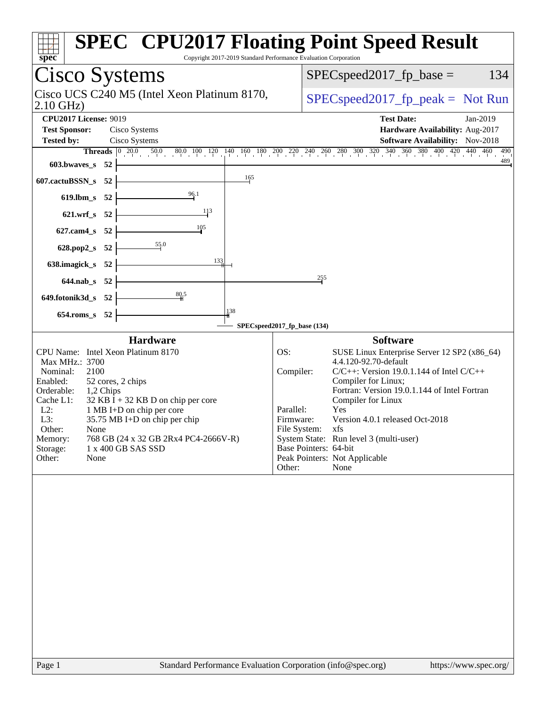| spec                                                                                          | <b>SPEC<sup>®</sup> CPU2017 Floating Point Speed Result</b><br>Copyright 2017-2019 Standard Performance Evaluation Corporation                                    |
|-----------------------------------------------------------------------------------------------|-------------------------------------------------------------------------------------------------------------------------------------------------------------------|
| Cisco Systems                                                                                 | 134<br>$SPEC speed2017fp base =$                                                                                                                                  |
| Cisco UCS C240 M5 (Intel Xeon Platinum 8170,<br>$2.10$ GHz)                                   | $SPEC speed2017rfp peak = Not Run$                                                                                                                                |
| <b>CPU2017 License: 9019</b>                                                                  | <b>Test Date:</b><br>Jan-2019                                                                                                                                     |
| <b>Test Sponsor:</b><br>Cisco Systems                                                         | Hardware Availability: Aug-2017                                                                                                                                   |
| Cisco Systems<br><b>Tested by:</b>                                                            | Software Availability: Nov-2018                                                                                                                                   |
|                                                                                               | Threads 0 20.0 50.0 80.0 100 120 140 160 180 200 220 240 260 280 300 320 340 360 380 400 420 440 460<br>490<br>489                                                |
| 603.bwaves_s 52                                                                               |                                                                                                                                                                   |
| 165<br>607.cactuBSSN_s<br>52                                                                  |                                                                                                                                                                   |
| $\frac{96.1}{96}$<br>619.lbm_s 52                                                             |                                                                                                                                                                   |
| 113<br>$621.wrf$ <sub>S</sub><br>- 52                                                         |                                                                                                                                                                   |
| $\frac{105}{1}$<br>$627$ .cam $4$ <sub>_S</sub><br>- 52                                       |                                                                                                                                                                   |
| 55.0<br>628.pop2_s<br>52                                                                      |                                                                                                                                                                   |
| 133<br>638.imagick_s<br>52                                                                    |                                                                                                                                                                   |
| 644.nab_s 52                                                                                  | 255                                                                                                                                                               |
| 80.5<br>649.fotonik3d_s 52                                                                    |                                                                                                                                                                   |
| 138<br>$654$ .roms_s<br>52                                                                    |                                                                                                                                                                   |
|                                                                                               | SPECspeed2017_fp_base (134)                                                                                                                                       |
| <b>Hardware</b>                                                                               | <b>Software</b>                                                                                                                                                   |
| CPU Name: Intel Xeon Platinum 8170<br>Max MHz.: 3700<br>Nominal:<br>2100<br>52 cores, 2 chips | SUSE Linux Enterprise Server 12 SP2 (x86_64)<br>OS:<br>4.4.120-92.70-default<br>Compiler:<br>$C/C++$ : Version 19.0.1.144 of Intel $C/C++$<br>Compiler for Linux; |
| Enabled:<br>Orderable:<br>1,2 Chips                                                           | Fortran: Version 19.0.1.144 of Intel Fortran                                                                                                                      |
| Cache L1:<br>$32$ KB I + 32 KB D on chip per core<br>$L2$ :<br>1 MB I+D on chip per core      | Compiler for Linux<br>Parallel:<br>Yes                                                                                                                            |
| L3:<br>35.75 MB I+D on chip per chip                                                          | Version 4.0.1 released Oct-2018<br>Firmware:                                                                                                                      |
| Other:<br>None                                                                                | File System: xfs                                                                                                                                                  |
| 768 GB (24 x 32 GB 2Rx4 PC4-2666V-R)<br>Memory:<br>Storage:<br>1 x 400 GB SAS SSD             | System State: Run level 3 (multi-user)<br>Base Pointers: 64-bit                                                                                                   |
| Other:<br>None                                                                                | Peak Pointers: Not Applicable<br>None<br>Other:                                                                                                                   |
|                                                                                               |                                                                                                                                                                   |
| Page 1                                                                                        | Standard Performance Evaluation Corporation (info@spec.org)<br>https://www.spec.org/                                                                              |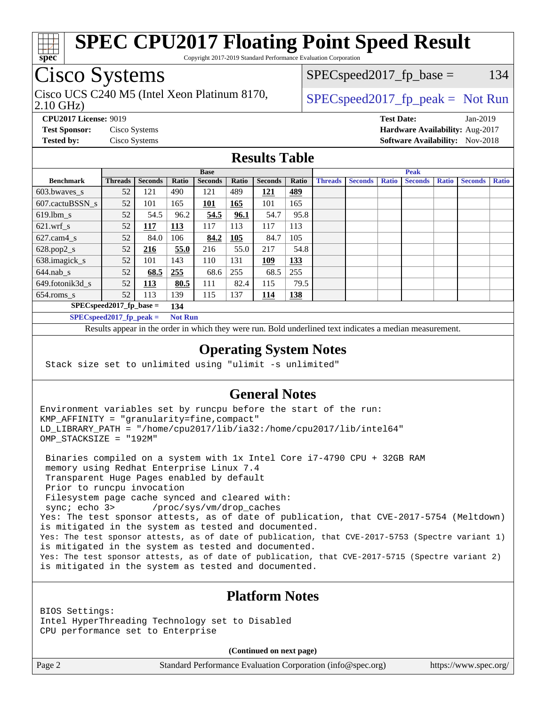

Copyright 2017-2019 Standard Performance Evaluation Corporation

## Cisco Systems

2.10 GHz) Cisco UCS C240 M5 (Intel Xeon Platinum 8170,  $\vert$  [SPECspeed2017\\_fp\\_peak =](http://www.spec.org/auto/cpu2017/Docs/result-fields.html#SPECspeed2017fppeak) Not Run

 $SPEC speed2017_fp\_base = 134$ 

**[CPU2017 License:](http://www.spec.org/auto/cpu2017/Docs/result-fields.html#CPU2017License)** 9019 **[Test Date:](http://www.spec.org/auto/cpu2017/Docs/result-fields.html#TestDate)** Jan-2019 **[Test Sponsor:](http://www.spec.org/auto/cpu2017/Docs/result-fields.html#TestSponsor)** Cisco Systems **[Hardware Availability:](http://www.spec.org/auto/cpu2017/Docs/result-fields.html#HardwareAvailability)** Aug-2017 **[Tested by:](http://www.spec.org/auto/cpu2017/Docs/result-fields.html#Testedby)** Cisco Systems **[Software Availability:](http://www.spec.org/auto/cpu2017/Docs/result-fields.html#SoftwareAvailability)** Nov-2018

#### **[Results Table](http://www.spec.org/auto/cpu2017/Docs/result-fields.html#ResultsTable)**

|                  | <b>Base</b>                |                |                |                |       | <b>Peak</b>    |            |                |                |              |                |              |                |              |
|------------------|----------------------------|----------------|----------------|----------------|-------|----------------|------------|----------------|----------------|--------------|----------------|--------------|----------------|--------------|
| <b>Benchmark</b> | <b>Threads</b>             | <b>Seconds</b> | Ratio          | <b>Seconds</b> | Ratio | <b>Seconds</b> | Ratio      | <b>Threads</b> | <b>Seconds</b> | <b>Ratio</b> | <b>Seconds</b> | <b>Ratio</b> | <b>Seconds</b> | <b>Ratio</b> |
| 603.bwayes s     | 52                         | 121            | 490            | 121            | 489   | 121            | 489        |                |                |              |                |              |                |              |
| 607.cactuBSSN s  | 52                         | 101            | 165            | 101            | 165   | 101            | 165        |                |                |              |                |              |                |              |
| $619.$ lbm s     | 52                         | 54.5           | 96.2           | 54.5           | 96.1  | 54.7           | 95.8       |                |                |              |                |              |                |              |
| $621.wrf$ s      | 52                         | <u>117</u>     | <u>113</u>     | 117            | 113   | 117            | 113        |                |                |              |                |              |                |              |
| $627$ .cam4 s    | 52                         | 84.0           | 106            | 84.2           | 105   | 84.7           | 105        |                |                |              |                |              |                |              |
| $628.pop2_s$     | 52                         | 216            | 55.0           | 216            | 55.0  | 217            | 54.8       |                |                |              |                |              |                |              |
| 638.imagick_s    | 52                         | 101            | 143            | 110            | 131   | 109            | 133        |                |                |              |                |              |                |              |
| $644$ .nab s     | 52                         | 68.5           | 255            | 68.6           | 255   | 68.5           | 255        |                |                |              |                |              |                |              |
| 649.fotonik3d s  | 52                         | <u> 113</u>    | 80.5           | 111            | 82.4  | 115            | 79.5       |                |                |              |                |              |                |              |
| $654$ .roms s    | 52                         | 113            | 139            | 115            | 137   | 114            | <u>138</u> |                |                |              |                |              |                |              |
|                  | $SPEC speed2017$ fp base = |                | 134            |                |       |                |            |                |                |              |                |              |                |              |
|                  | SPECspeed 2017 fp peak $=$ |                | <b>Not Run</b> |                |       |                |            |                |                |              |                |              |                |              |

Results appear in the [order in which they were run.](http://www.spec.org/auto/cpu2017/Docs/result-fields.html#RunOrder) Bold underlined text [indicates a median measurement](http://www.spec.org/auto/cpu2017/Docs/result-fields.html#Median).

#### **[Operating System Notes](http://www.spec.org/auto/cpu2017/Docs/result-fields.html#OperatingSystemNotes)**

Stack size set to unlimited using "ulimit -s unlimited"

#### **[General Notes](http://www.spec.org/auto/cpu2017/Docs/result-fields.html#GeneralNotes)**

Environment variables set by runcpu before the start of the run: KMP\_AFFINITY = "granularity=fine,compact" LD\_LIBRARY\_PATH = "/home/cpu2017/lib/ia32:/home/cpu2017/lib/intel64" OMP\_STACKSIZE = "192M"

 Binaries compiled on a system with 1x Intel Core i7-4790 CPU + 32GB RAM memory using Redhat Enterprise Linux 7.4 Transparent Huge Pages enabled by default Prior to runcpu invocation Filesystem page cache synced and cleared with: sync; echo 3> /proc/sys/vm/drop\_caches Yes: The test sponsor attests, as of date of publication, that CVE-2017-5754 (Meltdown) is mitigated in the system as tested and documented. Yes: The test sponsor attests, as of date of publication, that CVE-2017-5753 (Spectre variant 1) is mitigated in the system as tested and documented. Yes: The test sponsor attests, as of date of publication, that CVE-2017-5715 (Spectre variant 2) is mitigated in the system as tested and documented.

#### **[Platform Notes](http://www.spec.org/auto/cpu2017/Docs/result-fields.html#PlatformNotes)**

BIOS Settings: Intel HyperThreading Technology set to Disabled CPU performance set to Enterprise

**(Continued on next page)**

Page 2 Standard Performance Evaluation Corporation [\(info@spec.org\)](mailto:info@spec.org) <https://www.spec.org/>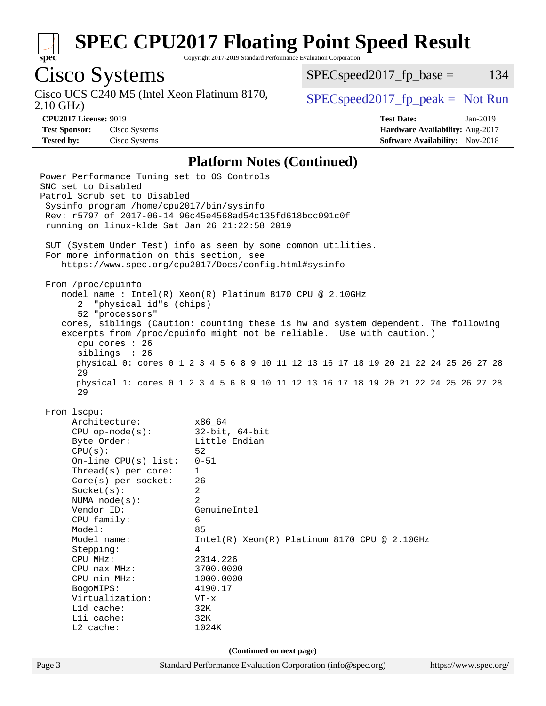

Copyright 2017-2019 Standard Performance Evaluation Corporation

# Cisco Systems

Cisco UCS C240 M5 (Intel Xeon Platinum 8170,  $\vert$  [SPECspeed2017\\_fp\\_peak =](http://www.spec.org/auto/cpu2017/Docs/result-fields.html#SPECspeed2017fppeak) Not Run

 $SPEC speed2017_fp\_base = 134$ 

2.10 GHz)

**[Test Sponsor:](http://www.spec.org/auto/cpu2017/Docs/result-fields.html#TestSponsor)** Cisco Systems **[Hardware Availability:](http://www.spec.org/auto/cpu2017/Docs/result-fields.html#HardwareAvailability)** Aug-2017 **[Tested by:](http://www.spec.org/auto/cpu2017/Docs/result-fields.html#Testedby)** Cisco Systems **[Software Availability:](http://www.spec.org/auto/cpu2017/Docs/result-fields.html#SoftwareAvailability)** Nov-2018

**[CPU2017 License:](http://www.spec.org/auto/cpu2017/Docs/result-fields.html#CPU2017License)** 9019 **[Test Date:](http://www.spec.org/auto/cpu2017/Docs/result-fields.html#TestDate)** Jan-2019

#### **[Platform Notes \(Continued\)](http://www.spec.org/auto/cpu2017/Docs/result-fields.html#PlatformNotes)**

Page 3 Standard Performance Evaluation Corporation [\(info@spec.org\)](mailto:info@spec.org) <https://www.spec.org/> Power Performance Tuning set to OS Controls SNC set to Disabled Patrol Scrub set to Disabled Sysinfo program /home/cpu2017/bin/sysinfo Rev: r5797 of 2017-06-14 96c45e4568ad54c135fd618bcc091c0f running on linux-klde Sat Jan 26 21:22:58 2019 SUT (System Under Test) info as seen by some common utilities. For more information on this section, see <https://www.spec.org/cpu2017/Docs/config.html#sysinfo> From /proc/cpuinfo model name : Intel(R) Xeon(R) Platinum 8170 CPU @ 2.10GHz 2 "physical id"s (chips) 52 "processors" cores, siblings (Caution: counting these is hw and system dependent. The following excerpts from /proc/cpuinfo might not be reliable. Use with caution.) cpu cores : 26 siblings : 26 physical 0: cores 0 1 2 3 4 5 6 8 9 10 11 12 13 16 17 18 19 20 21 22 24 25 26 27 28 29 physical 1: cores 0 1 2 3 4 5 6 8 9 10 11 12 13 16 17 18 19 20 21 22 24 25 26 27 28 29 From lscpu: Architecture: x86\_64 CPU op-mode(s): 32-bit, 64-bit Byte Order: Little Endian  $CPU(s):$  52 On-line CPU(s) list: 0-51 Thread(s) per core: 1 Core(s) per socket: 26 Socket(s): 2 NUMA node(s): 2 Vendor ID: GenuineIntel CPU family: 6 Model: 85 Model name: Intel(R) Xeon(R) Platinum 8170 CPU @ 2.10GHz Stepping: 4 CPU MHz: 2314.226 CPU max MHz: 3700.0000 CPU min MHz: 1000.0000 BogoMIPS: 4190.17 Virtualization: VT-x L1d cache: 32K L1i cache: 32K L2 cache: 1024K **(Continued on next page)**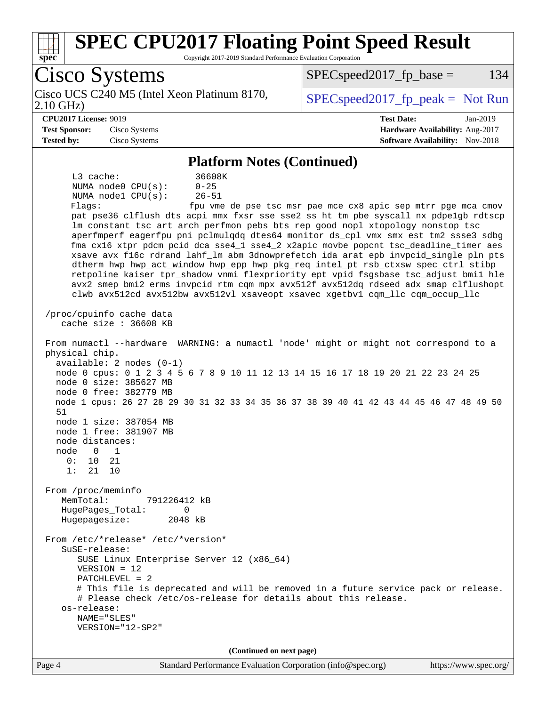

Page 4 Standard Performance Evaluation Corporation [\(info@spec.org\)](mailto:info@spec.org) <https://www.spec.org/>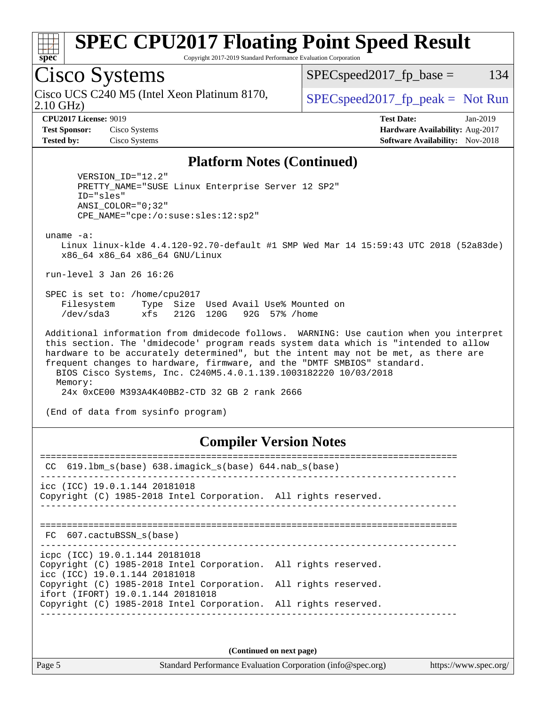

Copyright 2017-2019 Standard Performance Evaluation Corporation

### Cisco Systems

Cisco UCS C240 M5 (Intel Xeon Platinum 8170,  $\vert$  [SPECspeed2017\\_fp\\_peak =](http://www.spec.org/auto/cpu2017/Docs/result-fields.html#SPECspeed2017fppeak) Not Run

 $SPEC speed2017_fp\_base = 134$ 

2.10 GHz)

**[Test Sponsor:](http://www.spec.org/auto/cpu2017/Docs/result-fields.html#TestSponsor)** Cisco Systems **[Hardware Availability:](http://www.spec.org/auto/cpu2017/Docs/result-fields.html#HardwareAvailability)** Aug-2017

**[CPU2017 License:](http://www.spec.org/auto/cpu2017/Docs/result-fields.html#CPU2017License)** 9019 **[Test Date:](http://www.spec.org/auto/cpu2017/Docs/result-fields.html#TestDate)** Jan-2019 **[Tested by:](http://www.spec.org/auto/cpu2017/Docs/result-fields.html#Testedby)** Cisco Systems **[Software Availability:](http://www.spec.org/auto/cpu2017/Docs/result-fields.html#SoftwareAvailability)** Nov-2018

#### **[Platform Notes \(Continued\)](http://www.spec.org/auto/cpu2017/Docs/result-fields.html#PlatformNotes)**

 VERSION\_ID="12.2" PRETTY\_NAME="SUSE Linux Enterprise Server 12 SP2" ID="sles" ANSI\_COLOR="0;32" CPE\_NAME="cpe:/o:suse:sles:12:sp2"

uname -a:

 Linux linux-klde 4.4.120-92.70-default #1 SMP Wed Mar 14 15:59:43 UTC 2018 (52a83de) x86\_64 x86\_64 x86\_64 GNU/Linux

run-level 3 Jan 26 16:26

 SPEC is set to: /home/cpu2017 Filesystem Type Size Used Avail Use% Mounted on

/dev/sda3 xfs 212G 120G 92G 57% /home

 Additional information from dmidecode follows. WARNING: Use caution when you interpret this section. The 'dmidecode' program reads system data which is "intended to allow hardware to be accurately determined", but the intent may not be met, as there are frequent changes to hardware, firmware, and the "DMTF SMBIOS" standard. BIOS Cisco Systems, Inc. C240M5.4.0.1.139.1003182220 10/03/2018 Memory:

24x 0xCE00 M393A4K40BB2-CTD 32 GB 2 rank 2666

(End of data from sysinfo program)

#### **[Compiler Version Notes](http://www.spec.org/auto/cpu2017/Docs/result-fields.html#CompilerVersionNotes)**

| $CC$ 619.1bm $s(base)$ 638.imagick $s(base)$ 644.nab $s(base)$                                       |  |
|------------------------------------------------------------------------------------------------------|--|
| icc (ICC) 19.0.1.144 20181018<br>Copyright (C) 1985-2018 Intel Corporation. All rights reserved.     |  |
| FC 607.cactuBSSN s(base)                                                                             |  |
| icpc (ICC) 19.0.1.144 20181018                                                                       |  |
| Copyright (C) 1985-2018 Intel Corporation. All rights reserved.<br>icc (ICC) 19.0.1.144 20181018     |  |
| Copyright (C) 1985-2018 Intel Corporation. All rights reserved.<br>ifort (IFORT) 19.0.1.144 20181018 |  |
| Copyright (C) 1985-2018 Intel Corporation. All rights reserved.                                      |  |
|                                                                                                      |  |

**(Continued on next page)**

Page 5 Standard Performance Evaluation Corporation [\(info@spec.org\)](mailto:info@spec.org) <https://www.spec.org/>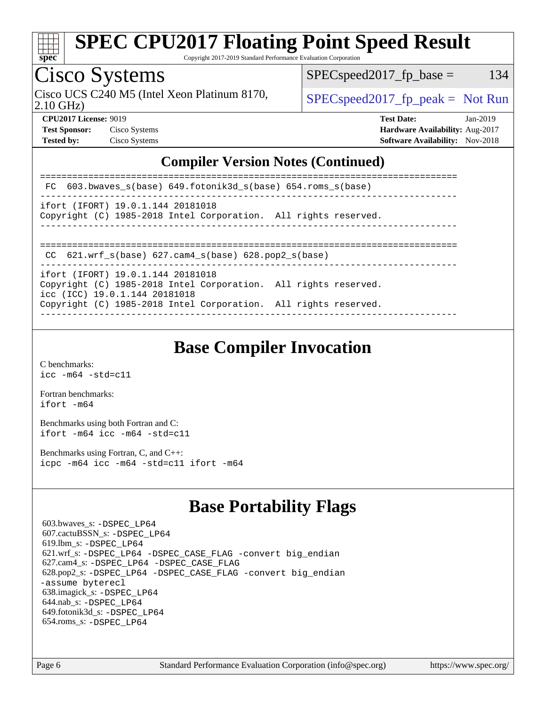

Copyright 2017-2019 Standard Performance Evaluation Corporation

### Cisco Systems

Cisco UCS C240 M5 (Intel Xeon Platinum 8170,  $\vert$  [SPECspeed2017\\_fp\\_peak =](http://www.spec.org/auto/cpu2017/Docs/result-fields.html#SPECspeed2017fppeak) Not Run

 $SPEC speed2017_fp\_base = 134$ 

2.10 GHz)

**[CPU2017 License:](http://www.spec.org/auto/cpu2017/Docs/result-fields.html#CPU2017License)** 9019 **[Test Date:](http://www.spec.org/auto/cpu2017/Docs/result-fields.html#TestDate)** Jan-2019 **[Test Sponsor:](http://www.spec.org/auto/cpu2017/Docs/result-fields.html#TestSponsor)** Cisco Systems **[Hardware Availability:](http://www.spec.org/auto/cpu2017/Docs/result-fields.html#HardwareAvailability)** Aug-2017 **[Tested by:](http://www.spec.org/auto/cpu2017/Docs/result-fields.html#Testedby)** Cisco Systems **[Software Availability:](http://www.spec.org/auto/cpu2017/Docs/result-fields.html#SoftwareAvailability)** Nov-2018

### **[Compiler Version Notes \(Continued\)](http://www.spec.org/auto/cpu2017/Docs/result-fields.html#CompilerVersionNotes)**

| FC 603.bwaves s(base) 649.fotonik3d s(base) 654.roms s(base)                                                                                                                                             |
|----------------------------------------------------------------------------------------------------------------------------------------------------------------------------------------------------------|
| ifort (IFORT) 19.0.1.144 20181018<br>Copyright (C) 1985-2018 Intel Corporation. All rights reserved.                                                                                                     |
| CC $621.$ wrf $s(base)$ 627.cam4 $s(base)$ 628.pop2 $s(base)$                                                                                                                                            |
| ifort (IFORT) 19.0.1.144 20181018<br>Copyright (C) 1985-2018 Intel Corporation. All rights reserved.<br>icc (ICC) 19.0.1.144 20181018<br>Copyright (C) 1985-2018 Intel Corporation. All rights reserved. |

### **[Base Compiler Invocation](http://www.spec.org/auto/cpu2017/Docs/result-fields.html#BaseCompilerInvocation)**

[C benchmarks](http://www.spec.org/auto/cpu2017/Docs/result-fields.html#Cbenchmarks): [icc -m64 -std=c11](http://www.spec.org/cpu2017/results/res2019q1/cpu2017-20190205-11014.flags.html#user_CCbase_intel_icc_64bit_c11_33ee0cdaae7deeeab2a9725423ba97205ce30f63b9926c2519791662299b76a0318f32ddfffdc46587804de3178b4f9328c46fa7c2b0cd779d7a61945c91cd35)

[Fortran benchmarks](http://www.spec.org/auto/cpu2017/Docs/result-fields.html#Fortranbenchmarks): [ifort -m64](http://www.spec.org/cpu2017/results/res2019q1/cpu2017-20190205-11014.flags.html#user_FCbase_intel_ifort_64bit_24f2bb282fbaeffd6157abe4f878425411749daecae9a33200eee2bee2fe76f3b89351d69a8130dd5949958ce389cf37ff59a95e7a40d588e8d3a57e0c3fd751)

[Benchmarks using both Fortran and C](http://www.spec.org/auto/cpu2017/Docs/result-fields.html#BenchmarksusingbothFortranandC): [ifort -m64](http://www.spec.org/cpu2017/results/res2019q1/cpu2017-20190205-11014.flags.html#user_CC_FCbase_intel_ifort_64bit_24f2bb282fbaeffd6157abe4f878425411749daecae9a33200eee2bee2fe76f3b89351d69a8130dd5949958ce389cf37ff59a95e7a40d588e8d3a57e0c3fd751) [icc -m64 -std=c11](http://www.spec.org/cpu2017/results/res2019q1/cpu2017-20190205-11014.flags.html#user_CC_FCbase_intel_icc_64bit_c11_33ee0cdaae7deeeab2a9725423ba97205ce30f63b9926c2519791662299b76a0318f32ddfffdc46587804de3178b4f9328c46fa7c2b0cd779d7a61945c91cd35)

[Benchmarks using Fortran, C, and C++:](http://www.spec.org/auto/cpu2017/Docs/result-fields.html#BenchmarksusingFortranCandCXX) [icpc -m64](http://www.spec.org/cpu2017/results/res2019q1/cpu2017-20190205-11014.flags.html#user_CC_CXX_FCbase_intel_icpc_64bit_4ecb2543ae3f1412ef961e0650ca070fec7b7afdcd6ed48761b84423119d1bf6bdf5cad15b44d48e7256388bc77273b966e5eb805aefd121eb22e9299b2ec9d9) [icc -m64 -std=c11](http://www.spec.org/cpu2017/results/res2019q1/cpu2017-20190205-11014.flags.html#user_CC_CXX_FCbase_intel_icc_64bit_c11_33ee0cdaae7deeeab2a9725423ba97205ce30f63b9926c2519791662299b76a0318f32ddfffdc46587804de3178b4f9328c46fa7c2b0cd779d7a61945c91cd35) [ifort -m64](http://www.spec.org/cpu2017/results/res2019q1/cpu2017-20190205-11014.flags.html#user_CC_CXX_FCbase_intel_ifort_64bit_24f2bb282fbaeffd6157abe4f878425411749daecae9a33200eee2bee2fe76f3b89351d69a8130dd5949958ce389cf37ff59a95e7a40d588e8d3a57e0c3fd751)

### **[Base Portability Flags](http://www.spec.org/auto/cpu2017/Docs/result-fields.html#BasePortabilityFlags)**

 603.bwaves\_s: [-DSPEC\\_LP64](http://www.spec.org/cpu2017/results/res2019q1/cpu2017-20190205-11014.flags.html#suite_basePORTABILITY603_bwaves_s_DSPEC_LP64) 607.cactuBSSN\_s: [-DSPEC\\_LP64](http://www.spec.org/cpu2017/results/res2019q1/cpu2017-20190205-11014.flags.html#suite_basePORTABILITY607_cactuBSSN_s_DSPEC_LP64) 619.lbm\_s: [-DSPEC\\_LP64](http://www.spec.org/cpu2017/results/res2019q1/cpu2017-20190205-11014.flags.html#suite_basePORTABILITY619_lbm_s_DSPEC_LP64) 621.wrf\_s: [-DSPEC\\_LP64](http://www.spec.org/cpu2017/results/res2019q1/cpu2017-20190205-11014.flags.html#suite_basePORTABILITY621_wrf_s_DSPEC_LP64) [-DSPEC\\_CASE\\_FLAG](http://www.spec.org/cpu2017/results/res2019q1/cpu2017-20190205-11014.flags.html#b621.wrf_s_baseCPORTABILITY_DSPEC_CASE_FLAG) [-convert big\\_endian](http://www.spec.org/cpu2017/results/res2019q1/cpu2017-20190205-11014.flags.html#user_baseFPORTABILITY621_wrf_s_convert_big_endian_c3194028bc08c63ac5d04de18c48ce6d347e4e562e8892b8bdbdc0214820426deb8554edfa529a3fb25a586e65a3d812c835984020483e7e73212c4d31a38223) 627.cam4\_s: [-DSPEC\\_LP64](http://www.spec.org/cpu2017/results/res2019q1/cpu2017-20190205-11014.flags.html#suite_basePORTABILITY627_cam4_s_DSPEC_LP64) [-DSPEC\\_CASE\\_FLAG](http://www.spec.org/cpu2017/results/res2019q1/cpu2017-20190205-11014.flags.html#b627.cam4_s_baseCPORTABILITY_DSPEC_CASE_FLAG) 628.pop2\_s: [-DSPEC\\_LP64](http://www.spec.org/cpu2017/results/res2019q1/cpu2017-20190205-11014.flags.html#suite_basePORTABILITY628_pop2_s_DSPEC_LP64) [-DSPEC\\_CASE\\_FLAG](http://www.spec.org/cpu2017/results/res2019q1/cpu2017-20190205-11014.flags.html#b628.pop2_s_baseCPORTABILITY_DSPEC_CASE_FLAG) [-convert big\\_endian](http://www.spec.org/cpu2017/results/res2019q1/cpu2017-20190205-11014.flags.html#user_baseFPORTABILITY628_pop2_s_convert_big_endian_c3194028bc08c63ac5d04de18c48ce6d347e4e562e8892b8bdbdc0214820426deb8554edfa529a3fb25a586e65a3d812c835984020483e7e73212c4d31a38223) [-assume byterecl](http://www.spec.org/cpu2017/results/res2019q1/cpu2017-20190205-11014.flags.html#user_baseFPORTABILITY628_pop2_s_assume_byterecl_7e47d18b9513cf18525430bbf0f2177aa9bf368bc7a059c09b2c06a34b53bd3447c950d3f8d6c70e3faf3a05c8557d66a5798b567902e8849adc142926523472) 638.imagick\_s: [-DSPEC\\_LP64](http://www.spec.org/cpu2017/results/res2019q1/cpu2017-20190205-11014.flags.html#suite_basePORTABILITY638_imagick_s_DSPEC_LP64) 644.nab\_s: [-DSPEC\\_LP64](http://www.spec.org/cpu2017/results/res2019q1/cpu2017-20190205-11014.flags.html#suite_basePORTABILITY644_nab_s_DSPEC_LP64) 649.fotonik3d\_s: [-DSPEC\\_LP64](http://www.spec.org/cpu2017/results/res2019q1/cpu2017-20190205-11014.flags.html#suite_basePORTABILITY649_fotonik3d_s_DSPEC_LP64) 654.roms\_s: [-DSPEC\\_LP64](http://www.spec.org/cpu2017/results/res2019q1/cpu2017-20190205-11014.flags.html#suite_basePORTABILITY654_roms_s_DSPEC_LP64)